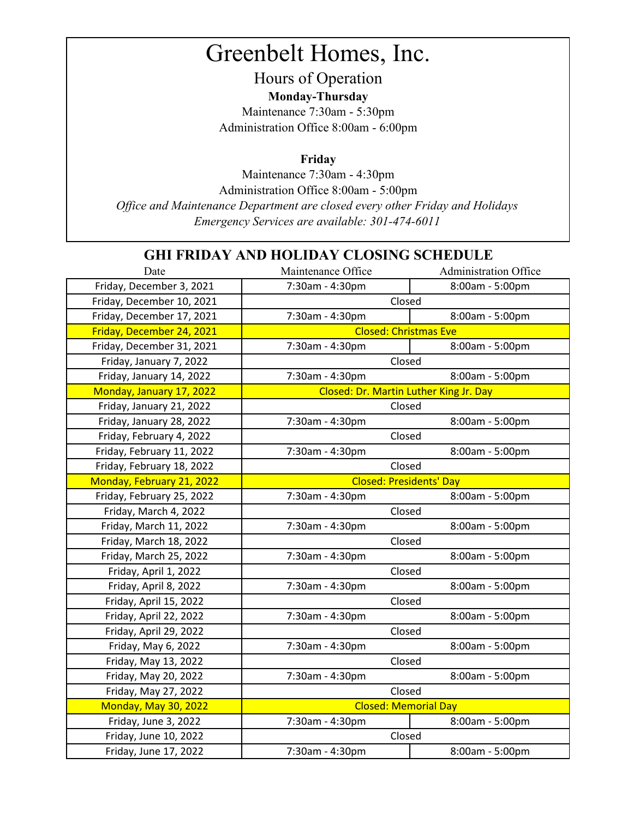## Greenbelt Homes, Inc.

Hours of Operation

**Monday-Thursday** 

Maintenance 7:30am - 5:30pm Administration Office 8:00am - 6:00pm

**Friday**

Maintenance 7:30am - 4:30pm Administration Office 8:00am - 5:00pm *Office and Maintenance Department are closed every other Friday and Holidays Emergency Services are available: 301-474-6011*

## **GHI FRIDAY AND HOLIDAY CLOSING SCHEDULE**

| Date                        | Maintenance Office                     | <b>Administration Office</b> |
|-----------------------------|----------------------------------------|------------------------------|
| Friday, December 3, 2021    | 7:30am - 4:30pm                        | 8:00am - 5:00pm              |
| Friday, December 10, 2021   | Closed                                 |                              |
| Friday, December 17, 2021   | 7:30am - 4:30pm                        | 8:00am - 5:00pm              |
| Friday, December 24, 2021   | Closed: Christmas Eve                  |                              |
| Friday, December 31, 2021   | 7:30am - 4:30pm                        | 8:00am - 5:00pm              |
| Friday, January 7, 2022     | Closed                                 |                              |
| Friday, January 14, 2022    | 7:30am - 4:30pm                        | 8:00am - 5:00pm              |
| Monday, January 17, 2022    | Closed: Dr. Martin Luther King Jr. Day |                              |
| Friday, January 21, 2022    | Closed                                 |                              |
| Friday, January 28, 2022    | 7:30am - 4:30pm                        | 8:00am - 5:00pm              |
| Friday, February 4, 2022    | Closed                                 |                              |
| Friday, February 11, 2022   | 7:30am - 4:30pm                        | 8:00am - 5:00pm              |
| Friday, February 18, 2022   | Closed                                 |                              |
| Monday, February 21, 2022   | <b>Closed: Presidents' Day</b>         |                              |
| Friday, February 25, 2022   | 7:30am - 4:30pm                        | 8:00am - 5:00pm              |
| Friday, March 4, 2022       | Closed                                 |                              |
| Friday, March 11, 2022      | 7:30am - 4:30pm                        | 8:00am - 5:00pm              |
| Friday, March 18, 2022      | Closed                                 |                              |
| Friday, March 25, 2022      | 7:30am - 4:30pm                        | 8:00am - 5:00pm              |
| Friday, April 1, 2022       | Closed                                 |                              |
| Friday, April 8, 2022       | 7:30am - 4:30pm                        | 8:00am - 5:00pm              |
| Friday, April 15, 2022      | Closed                                 |                              |
| Friday, April 22, 2022      | 7:30am - 4:30pm                        | 8:00am - 5:00pm              |
| Friday, April 29, 2022      | Closed                                 |                              |
| Friday, May 6, 2022         | 7:30am - 4:30pm<br>8:00am - 5:00pm     |                              |
| Friday, May 13, 2022        | Closed                                 |                              |
| Friday, May 20, 2022        | 7:30am - 4:30pm                        | 8:00am - 5:00pm              |
| Friday, May 27, 2022        | Closed                                 |                              |
| <b>Monday, May 30, 2022</b> | <b>Closed: Memorial Day</b>            |                              |
| Friday, June 3, 2022        | 7:30am - 4:30pm                        | 8:00am - 5:00pm              |
| Friday, June 10, 2022       | Closed                                 |                              |
| Friday, June 17, 2022       | 7:30am - 4:30pm                        | 8:00am - 5:00pm              |